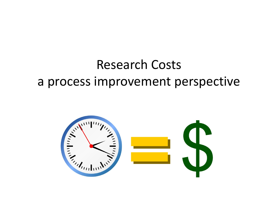### Research Costs a process improvement perspective

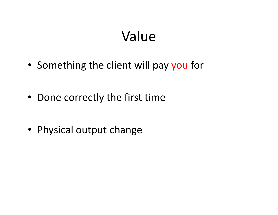# Value

- Something the client will pay you for
- Done correctly the first time
- Physical output change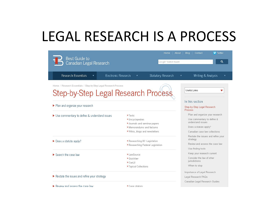## LEGAL RESEARCH IS A PROCESS

| <b>Best Guide to</b><br>Canadian Legal Research                                                                |                                                                                                                          | <b>V</b> Twitter<br>About<br>Contact<br>Home<br><b>Blog</b><br>Q<br>Google" Custom Search |                                                                                                                                              |  |
|----------------------------------------------------------------------------------------------------------------|--------------------------------------------------------------------------------------------------------------------------|-------------------------------------------------------------------------------------------|----------------------------------------------------------------------------------------------------------------------------------------------|--|
| Research Essentials<br>Electronic Research                                                                     |                                                                                                                          | Statutory Research                                                                        | Writing & Analysis                                                                                                                           |  |
| Home / Research Essentials / Step-by-Step Legal Research Process<br><b>Step-by-Step Legal Research Process</b> |                                                                                                                          |                                                                                           | Useful Links                                                                                                                                 |  |
| Plan and organize your research                                                                                |                                                                                                                          |                                                                                           | In this section<br>Step-by-Step Legal Research<br><b>Process</b>                                                                             |  |
| ▶ Use commentary to define & understand issues                                                                 | » Texts<br>» Encyclopedias<br>b Journals and seminar papers<br>» Memorandums and factums<br>Wikis, blogs and newsletters |                                                                                           | Plan and organize your research<br>Use commentary to define &<br>understand issues<br>Does a statute apply?<br>Canadian case law collections |  |
| $\triangleright$ Does a statute apply?                                                                         | Researching BC Legislation<br>Researching Federal Legislation                                                            |                                                                                           | Restate the issues and refine your<br>strategy<br>Review and assess the case law<br>Use finding tools                                        |  |
| Search the case law                                                                                            | D LawSource<br><sup>»</sup> Quicklaw<br>» CanLII<br><sup>»</sup> Topical Collections                                     |                                                                                           | Keep your research current<br>Consider the law of other<br>jurisdictions<br>When to stop                                                     |  |
| Restate the issues and refine your strategy<br>Review and assess the case law<br>Case citators                 |                                                                                                                          | Importance of Legal Research<br>Legal Research FAQs<br>Canadian Legal Research Guides     |                                                                                                                                              |  |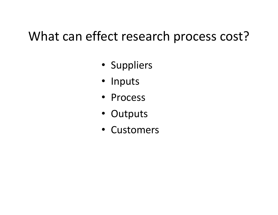### What can effect research process cost?

- Suppliers
- Inputs
- Process
- Outputs
- Customers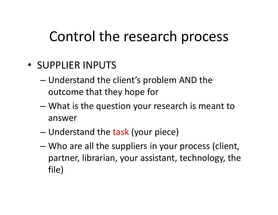- SUPPLIER INPUTS
	- Understand the client's problem AND the outcome that they hope for
	- What is the question your research is meant to answer
	- Understand the task (your piece)
	- Who are all the suppliers in your process (client, partner, librarian, your assistant, technology, the file)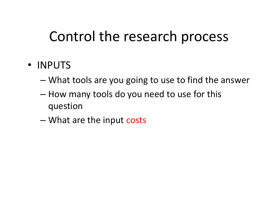#### • INPUTS

- What tools are you going to use to find the answer
- How many tools do you need to use for this question
- What are the input costs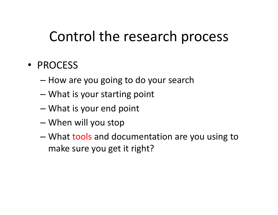#### • PROCESS

- How are you going to do your search
- What is your starting point
- What is your end point
- When will you stop
- What tools and documentation are you using to make sure you get it right?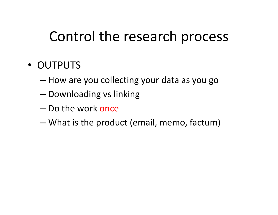#### • OUTPUTS

- How are you collecting your data as you go
- Downloading vs linking
- Do the work once
- What is the product (email, memo, factum)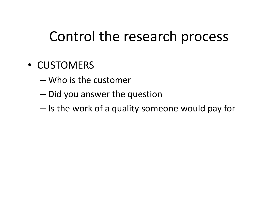#### • CUSTOMERS

- Who is the customer
- Did you answer the question
- Is the work of a quality someone would pay for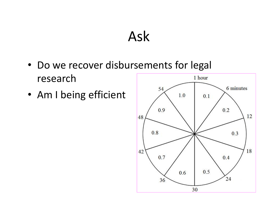### Ask

- Do we recover disbursements for legal research 1 hour
- Am I being efficient